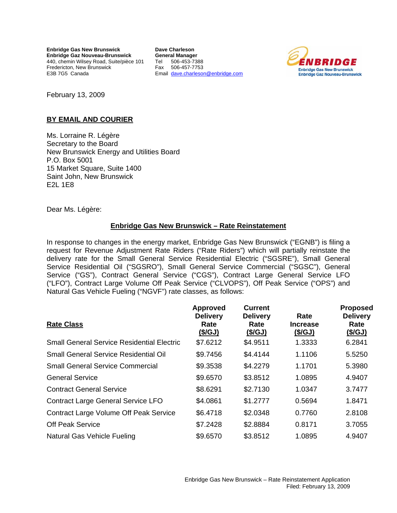**Enbridge Gas New Brunswick Enbridge Gaz Nouveau-Brunswick**  440, chemin Wilsey Road, Suite/pièce 101 Fredericton, New Brunswick E3B 7G5 Canada

**Dave Charleson General Manager**  Tel 506-453-7388 Fax 506-457-7753 Email [dave.charleson@enbridge.com](mailto:dave.charleson@enbridge.com)



February 13, 2009

## **BY EMAIL AND COURIER**

Ms. Lorraine R. Légère Secretary to the Board New Brunswick Energy and Utilities Board P.O. Box 5001 15 Market Square, Suite 1400 Saint John, New Brunswick E2L 1E8

Dear Ms. Légère:

## **Enbridge Gas New Brunswick – Rate Reinstatement**

In response to changes in the energy market, Enbridge Gas New Brunswick ("EGNB") is filing a request for Revenue Adjustment Rate Riders ("Rate Riders") which will partially reinstate the delivery rate for the Small General Service Residential Electric ("SGSRE"), Small General Service Residential Oil ("SGSRO"), Small General Service Commercial ("SGSC"), General Service ("GS"), Contract General Service ("CGS"), Contract Large General Service LFO ("LFO"), Contract Large Volume Off Peak Service ("CLVOPS"), Off Peak Service ("OPS") and Natural Gas Vehicle Fueling ("NGVF") rate classes, as follows:

| <b>Rate Class</b>                                 | <b>Approved</b><br><b>Delivery</b><br>Rate | <b>Current</b><br><b>Delivery</b><br>Rate | Rate<br>Increase | <b>Proposed</b><br><b>Delivery</b><br>Rate |
|---------------------------------------------------|--------------------------------------------|-------------------------------------------|------------------|--------------------------------------------|
|                                                   | (\$/GJ)                                    | (\$/GJ)                                   | <u>(\$/GJ)</u>   | <u>(\$/GJ)</u>                             |
| <b>Small General Service Residential Electric</b> | \$7.6212                                   | \$4.9511                                  | 1.3333           | 6.2841                                     |
| <b>Small General Service Residential Oil</b>      | \$9.7456                                   | \$4.4144                                  | 1.1106           | 5.5250                                     |
| <b>Small General Service Commercial</b>           | \$9.3538                                   | \$4.2279                                  | 1.1701           | 5.3980                                     |
| <b>General Service</b>                            | \$9.6570                                   | \$3.8512                                  | 1.0895           | 4.9407                                     |
| <b>Contract General Service</b>                   | \$8.6291                                   | \$2.7130                                  | 1.0347           | 3.7477                                     |
| <b>Contract Large General Service LFO</b>         | \$4.0861                                   | \$1.2777                                  | 0.5694           | 1.8471                                     |
| <b>Contract Large Volume Off Peak Service</b>     | \$6.4718                                   | \$2.0348                                  | 0.7760           | 2.8108                                     |
| <b>Off Peak Service</b>                           | \$7.2428                                   | \$2.8884                                  | 0.8171           | 3.7055                                     |
| Natural Gas Vehicle Fueling                       | \$9.6570                                   | \$3.8512                                  | 1.0895           | 4.9407                                     |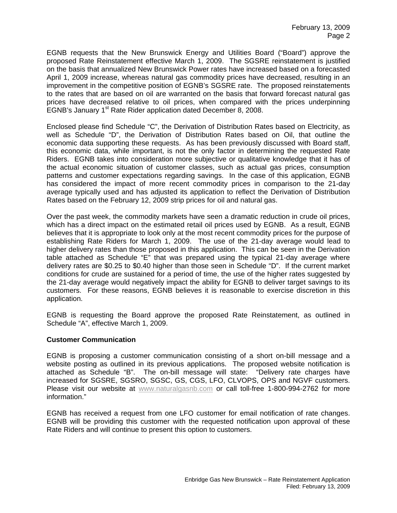EGNB requests that the New Brunswick Energy and Utilities Board ("Board") approve the proposed Rate Reinstatement effective March 1, 2009. The SGSRE reinstatement is justified on the basis that annualized New Brunswick Power rates have increased based on a forecasted April 1, 2009 increase, whereas natural gas commodity prices have decreased, resulting in an improvement in the competitive position of EGNB's SGSRE rate. The proposed reinstatements to the rates that are based on oil are warranted on the basis that forward forecast natural gas prices have decreased relative to oil prices, when compared with the prices underpinning EGNB's January 1<sup>st</sup> Rate Rider application dated December 8, 2008.

Enclosed please find Schedule "C", the Derivation of Distribution Rates based on Electricity, as well as Schedule "D", the Derivation of Distribution Rates based on Oil, that outline the economic data supporting these requests. As has been previously discussed with Board staff, this economic data, while important, is not the only factor in determining the requested Rate Riders. EGNB takes into consideration more subjective or qualitative knowledge that it has of the actual economic situation of customer classes, such as actual gas prices, consumption patterns and customer expectations regarding savings. In the case of this application, EGNB has considered the impact of more recent commodity prices in comparison to the 21-day average typically used and has adjusted its application to reflect the Derivation of Distribution Rates based on the February 12, 2009 strip prices for oil and natural gas.

Over the past week, the commodity markets have seen a dramatic reduction in crude oil prices, which has a direct impact on the estimated retail oil prices used by EGNB. As a result, EGNB believes that it is appropriate to look only at the most recent commodity prices for the purpose of establishing Rate Riders for March 1, 2009. The use of the 21-day average would lead to higher delivery rates than those proposed in this application. This can be seen in the Derivation table attached as Schedule "E" that was prepared using the typical 21-day average where delivery rates are \$0.25 to \$0.40 higher than those seen in Schedule "D". If the current market conditions for crude are sustained for a period of time, the use of the higher rates suggested by the 21-day average would negatively impact the ability for EGNB to deliver target savings to its customers. For these reasons, EGNB believes it is reasonable to exercise discretion in this application.

EGNB is requesting the Board approve the proposed Rate Reinstatement, as outlined in Schedule "A", effective March 1, 2009.

### **Customer Communication**

EGNB is proposing a customer communication consisting of a short on-bill message and a website posting as outlined in its previous applications. The proposed website notification is attached as Schedule "B". The on-bill message will state: "Delivery rate charges have increased for SGSRE, SGSRO, SGSC, GS, CGS, LFO, CLVOPS, OPS and NGVF customers. Please visit our website at www.naturalgasnb.com or call toll-free 1-800-994-2762 for more information."

EGNB has received a request from one LFO customer for email notification of rate changes. EGNB will be providing this customer with the requested notification upon approval of these Rate Riders and will continue to present this option to customers.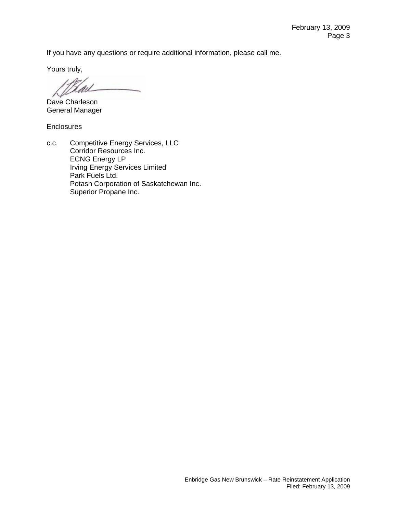If you have any questions or require additional information, please call me.

Yours truly,

Hail

Dave Charleson General Manager

**Enclosures** 

c.c. Competitive Energy Services, LLC Corridor Resources Inc. ECNG Energy LP Irving Energy Services Limited Park Fuels Ltd. Potash Corporation of Saskatchewan Inc. Superior Propane Inc.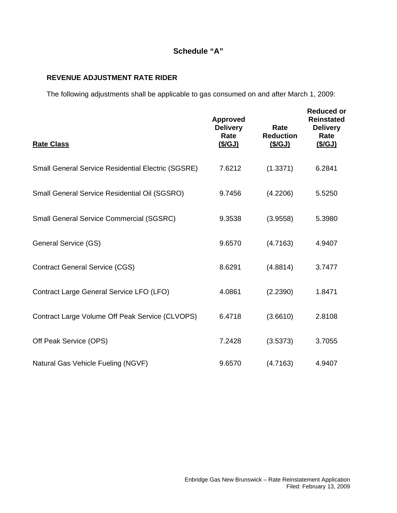# **Schedule "A"**

## **REVENUE ADJUSTMENT RATE RIDER**

The following adjustments shall be applicable to gas consumed on and after March 1, 2009:

| <b>Rate Class</b>                                         | <b>Approved</b><br><b>Delivery</b><br>Rate<br>(\$/GJ) | Rate<br><b>Reduction</b><br><u>(\$/GJ)</u> | <b>Reduced or</b><br><b>Reinstated</b><br><b>Delivery</b><br>Rate<br><u>(\$/GJ)</u> |
|-----------------------------------------------------------|-------------------------------------------------------|--------------------------------------------|-------------------------------------------------------------------------------------|
| <b>Small General Service Residential Electric (SGSRE)</b> | 7.6212                                                | (1.3371)                                   | 6.2841                                                                              |
| Small General Service Residential Oil (SGSRO)             | 9.7456                                                | (4.2206)                                   | 5.5250                                                                              |
| Small General Service Commercial (SGSRC)                  | 9.3538                                                | (3.9558)                                   | 5.3980                                                                              |
| General Service (GS)                                      | 9.6570                                                | (4.7163)                                   | 4.9407                                                                              |
| <b>Contract General Service (CGS)</b>                     | 8.6291                                                | (4.8814)                                   | 3.7477                                                                              |
| Contract Large General Service LFO (LFO)                  | 4.0861                                                | (2.2390)                                   | 1.8471                                                                              |
| Contract Large Volume Off Peak Service (CLVOPS)           | 6.4718                                                | (3.6610)                                   | 2.8108                                                                              |
| Off Peak Service (OPS)                                    | 7.2428                                                | (3.5373)                                   | 3.7055                                                                              |
| Natural Gas Vehicle Fueling (NGVF)                        | 9.6570                                                | (4.7163)                                   | 4.9407                                                                              |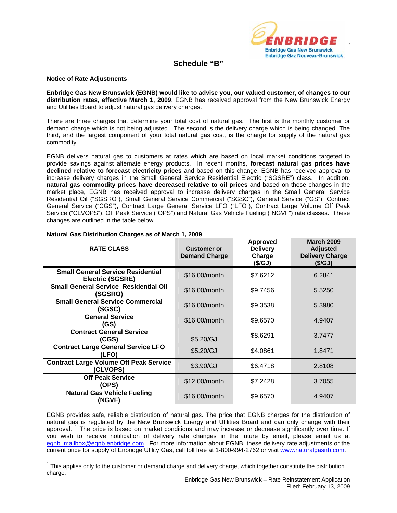

## **Schedule "B"**

#### **Notice of Rate Adjustments**

 $\overline{a}$ 

**Enbridge Gas New Brunswick (EGNB) would like to advise you, our valued customer, of changes to our distribution rates, effective March 1, 2009**. EGNB has received approval from the New Brunswick Energy and Utilities Board to adjust natural gas delivery charges.

There are three charges that determine your total cost of natural gas. The first is the monthly customer or demand charge which is not being adjusted. The second is the delivery charge which is being changed. The third, and the largest component of your total natural gas cost, is the charge for supply of the natural gas commodity.

EGNB delivers natural gas to customers at rates which are based on local market conditions targeted to provide savings against alternate energy products. In recent months, **forecast natural gas prices have declined relative to forecast electricity prices** and based on this change, EGNB has received approval to increase delivery charges in the Small General Service Residential Electric ("SGSRE") class.In addition, **natural gas commodity prices have decreased relative to oil prices** and based on these changes in the market place, EGNB has received approval to increase delivery charges in the Small General Service Residential Oil ("SGSRO"), Small General Service Commercial ("SGSC"), General Service ("GS"), Contract General Service ("CGS"), Contract Large General Service LFO ("LFO"), Contract Large Volume Off Peak Service ("CLVOPS"), Off Peak Service ("OPS") and Natural Gas Vehicle Fueling ("NGVF") rate classes. These changes are outlined in the table below.

| <b>RATE CLASS</b>                                                   | <b>Customer or</b><br><b>Demand Charge</b> | Approved<br><b>Delivery</b><br>Charge<br>(\$/GJ) | <b>March 2009</b><br><b>Adjusted</b><br><b>Delivery Charge</b><br>(\$/GJ) |  |
|---------------------------------------------------------------------|--------------------------------------------|--------------------------------------------------|---------------------------------------------------------------------------|--|
| <b>Small General Service Residential</b><br><b>Electric (SGSRE)</b> | \$16.00/month                              | \$7.6212                                         | 6.2841                                                                    |  |
| <b>Small General Service Residential Oil</b><br>(SGSRO)             | \$16,00/month                              | \$9.7456                                         | 5.5250                                                                    |  |
| <b>Small General Service Commercial</b><br>(SGSC)                   | \$16.00/month                              | \$9.3538                                         | 5.3980                                                                    |  |
| <b>General Service</b><br>GS)                                       | \$16,00/month                              | \$9.6570                                         | 4.9407                                                                    |  |
| <b>Contract General Service</b><br>(CGS)                            | \$5.20/GJ                                  | \$8.6291                                         | 3.7477                                                                    |  |
| <b>Contract Large General Service LFO</b><br>(LFO)                  | \$5.20/GJ                                  | \$4.0861                                         | 1.8471                                                                    |  |
| <b>Contract Large Volume Off Peak Service</b><br>(CLVOPS)           | \$3.90/GJ                                  | \$6.4718                                         | 2.8108                                                                    |  |
| <b>Off Peak Service</b><br>(OPS)                                    | \$12,00/month                              | \$7.2428                                         | 3.7055                                                                    |  |
| <b>Natural Gas Vehicle Fueling</b><br>(NGVF)                        | \$16.00/month                              | \$9.6570                                         | 4.9407                                                                    |  |

#### **Natural Gas Distribution Charges as of March 1, 2009**

EGNB provides safe, reliable distribution of natural gas. The price that EGNB charges for the distribution of natural gas is regulated by the New Brunswick Energy and Utilities Board and can only change with their approval.<sup>[1](#page-4-0)</sup> The price is based on market conditions and may increase or decrease significantly over time. If you wish to receive notification of delivery rate changes in the future by email, please email us at egnb mailbox@egnb.enbridge.com. For more information about EGNB, these delivery rate adjustments or the current price for supply of Enbridge Utility Gas, call toll free at 1-800-994-2762 or visit [www.naturalgasnb.com](http://www.naturalgasnb.com/).

<span id="page-4-0"></span> $1$  This applies only to the customer or demand charge and delivery charge, which together constitute the distribution charge.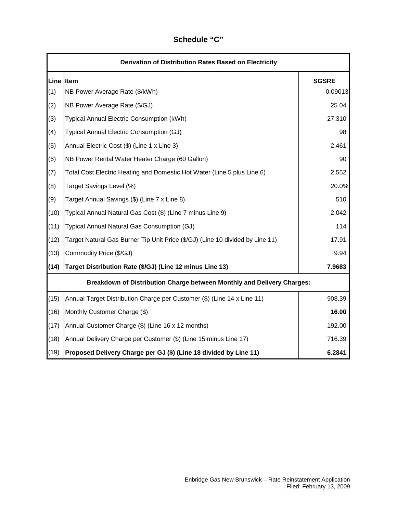# **Line Item SGSRE** (1) NB Power Average Rate (\$/kWh) 0.09013 (2) NB Power Average Rate (\$/GJ) 25.04 (3) Typical Annual Electric Consumption (kWh) 27,310 (4) Typical Annual Electric Consumption (GJ) 98 (5) Annual Electric Cost (\$) (Line 1 x Line 3) 2,461 (6) NB Power Rental Water Heater Charge (60 Gallon)  $\vert$  90 (7) Total Cost Electric Heating and Domestic Hot Water (Line 5 plus Line 6) 2,552 (8) Target Savings Level (%) 20.0% (9) Target Annual Savings (\$) (Line 7 x Line 8) 510 (10) Typical Annual Natural Gas Cost (\$) (Line 7 minus Line 9) 2,042 (11) Typical Annual Natural Gas Consumption (GJ) 114 (12) Target Natural Gas Burner Tip Unit Price (\$/GJ) (Line 10 divided by Line 11) 17.91  $(13)$  Commodity Price  $(\frac{5}{6})$ **(14) Target Distribution Rate (\$/GJ) (Line 12 minus Line 13) 7.9683** (15) Annual Target Distribution Charge per Customer (\$) (Line 14 x Line 11) 908.39 (16) Monthly Customer Charge (\$) **16.00** (17) Annual Customer Charge (\$) (Line 16 x 12 months) 192.00 (18) Annual Delivery Charge per Customer (\$) (Line 15 minus Line 17) 716.39 (19) **Proposed Delivery Charge per GJ (\$) (Line 18 divided by Line 11) 6.2841 Derivation of Distribution Rates Based on Electricity Breakdown of Distribution Charge between Monthly and Delivery Charges:**

## **Schedule "C"**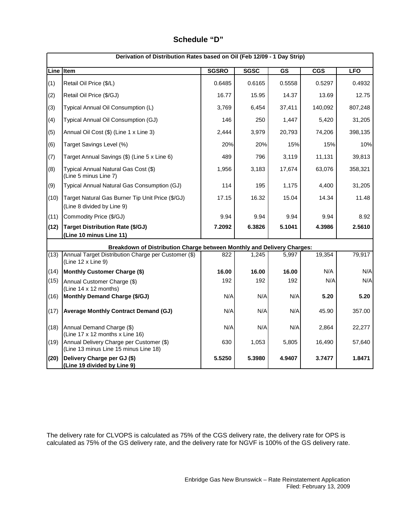# **Schedule "D"**

|           | Derivation of Distribution Rates based on Oil (Feb 12/09 - 1 Day Strip)           |              |             |           |                         |            |
|-----------|-----------------------------------------------------------------------------------|--------------|-------------|-----------|-------------------------|------------|
| Line Item |                                                                                   | <b>SGSRO</b> | <b>SGSC</b> | <b>GS</b> | $\overline{\text{CGS}}$ | <b>LFO</b> |
| (1)       | Retail Oil Price (\$/L)                                                           | 0.6485       | 0.6165      | 0.5558    | 0.5297                  | 0.4932     |
| (2)       | Retail Oil Price (\$/GJ)                                                          | 16.77        | 15.95       | 14.37     | 13.69                   | 12.75      |
| (3)       | Typical Annual Oil Consumption (L)                                                | 3,769        | 6,454       | 37,411    | 140,092                 | 807,248    |
| (4)       | Typical Annual Oil Consumption (GJ)                                               | 146          | 250         | 1,447     | 5,420                   | 31,205     |
| (5)       | Annual Oil Cost (\$) (Line 1 x Line 3)                                            | 2,444        | 3,979       | 20,793    | 74,206                  | 398,135    |
| (6)       | Target Savings Level (%)                                                          | 20%          | 20%         | 15%       | 15%                     | 10%        |
| (7)       | Target Annual Savings (\$) (Line 5 x Line 6)                                      | 489          | 796         | 3,119     | 11,131                  | 39,813     |
| (8)       | Typical Annual Natural Gas Cost (\$)<br>(Line 5 minus Line 7)                     | 1,956        | 3,183       | 17,674    | 63,076                  | 358,321    |
| (9)       | Typical Annual Natural Gas Consumption (GJ)                                       | 114          | 195         | 1,175     | 4,400                   | 31,205     |
| (10)      | Target Natural Gas Burner Tip Unit Price (\$/GJ)<br>(Line 8 divided by Line 9)    | 17.15        | 16.32       | 15.04     | 14.34                   | 11.48      |
| (11)      | Commodity Price (\$/GJ)                                                           | 9.94         | 9.94        | 9.94      | 9.94                    | 8.92       |
| (12)      | <b>Target Distribution Rate (\$/GJ)</b>                                           | 7.2092       | 6.3826      | 5.1041    | 4.3986                  | 2.5610     |
|           | (Line 10 minus Line 11)                                                           |              |             |           |                         |            |
|           | Breakdown of Distribution Charge between Monthly and Delivery Charges:            |              |             |           |                         |            |
| (13)      | Annual Target Distribution Charge per Customer (\$)<br>(Line 12 x Line 9)         | 822          | 1,245       | 5,997     | 19,354                  | 79,917     |
| (14)      | Monthly Customer Charge (\$)                                                      | 16.00        | 16.00       | 16.00     | N/A                     | N/A        |
| (15)      | Annual Customer Charge (\$)<br>(Line 14 x 12 months)                              | 192          | 192         | 192       | N/A                     | N/A        |
| (16)      | Monthly Demand Charge (\$/GJ)                                                     | N/A          | N/A         | N/A       | 5.20                    | 5.20       |
| (17)      | <b>Average Monthly Contract Demand (GJ)</b>                                       | N/A          | N/A         | N/A       | 45.90                   | 357.00     |
| (18)      | Annual Demand Charge (\$)<br>(Line 17 x 12 months x Line 16)                      | N/A          | N/A         | N/A       | 2,864                   | 22,277     |
| (19)      | Annual Delivery Charge per Customer (\$)<br>(Line 13 minus Line 15 minus Line 18) | 630          | 1,053       | 5,805     | 16,490                  | 57,640     |
| (20)      | Delivery Charge per GJ (\$)<br>(Line 19 divided by Line 9)                        | 5.5250       | 5.3980      | 4.9407    | 3.7477                  | 1.8471     |

The delivery rate for CLVOPS is calculated as 75% of the CGS delivery rate, the delivery rate for OPS is calculated as 75% of the GS delivery rate, and the delivery rate for NGVF is 100% of the GS delivery rate.